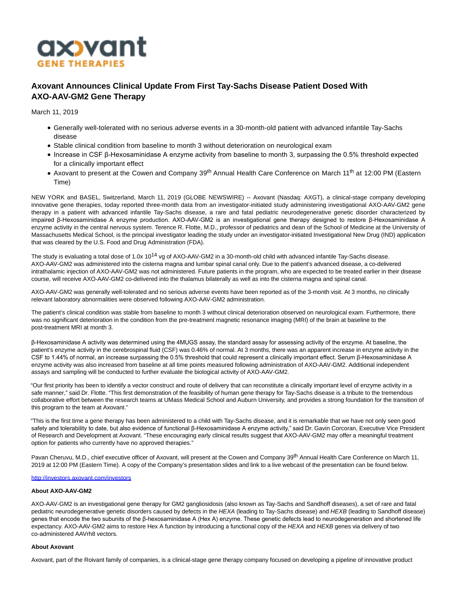

# **Axovant Announces Clinical Update From First Tay-Sachs Disease Patient Dosed With AXO-AAV-GM2 Gene Therapy**

March 11, 2019

- Generally well-tolerated with no serious adverse events in a 30-month-old patient with advanced infantile Tay-Sachs disease
- Stable clinical condition from baseline to month 3 without deterioration on neurological exam
- Increase in CSF β-Hexosaminidase A enzyme activity from baseline to month 3, surpassing the 0.5% threshold expected for a clinically important effect
- Axovant to present at the Cowen and Company 39<sup>th</sup> Annual Health Care Conference on March 11<sup>th</sup> at 12:00 PM (Eastern Time)

NEW YORK and BASEL, Switzerland, March 11, 2019 (GLOBE NEWSWIRE) -- Axovant (Nasdaq: AXGT), a clinical-stage company developing innovative gene therapies, today reported three-month data from an investigator-initiated study administering investigational AXO-AAV-GM2 gene therapy in a patient with advanced infantile Tay-Sachs disease, a rare and fatal pediatric neurodegenerative genetic disorder characterized by impaired β-Hexosaminidase A enzyme production. AXO-AAV-GM2 is an investigational gene therapy designed to restore β-Hexosaminidase A enzyme activity in the central nervous system. Terence R. Flotte, M.D., professor of pediatrics and dean of the School of Medicine at the University of Massachusetts Medical School, is the principal investigator leading the study under an investigator-initiated Investigational New Drug (IND) application that was cleared by the U.S. Food and Drug Administration (FDA).

The study is evaluating a total dose of 1.0x 10<sup>14</sup> vg of AXO-AAV-GM2 in a 30-month-old child with advanced infantile Tay-Sachs disease. AXO-AAV-GM2 was administered into the cisterna magna and lumbar spinal canal only. Due to the patient's advanced disease, a co-delivered intrathalamic injection of AXO-AAV-GM2 was not administered. Future patients in the program, who are expected to be treated earlier in their disease course, will receive AXO-AAV-GM2 co-delivered into the thalamus bilaterally as well as into the cisterna magna and spinal canal.

AXO-AAV-GM2 was generally well-tolerated and no serious adverse events have been reported as of the 3-month visit. At 3 months, no clinically relevant laboratory abnormalities were observed following AXO-AAV-GM2 administration.

The patient's clinical condition was stable from baseline to month 3 without clinical deterioration observed on neurological exam. Furthermore, there was no significant deterioration in the condition from the pre-treatment magnetic resonance imaging (MRI) of the brain at baseline to the post-treatment MRI at month 3.

β-Hexosaminidase A activity was determined using the 4MUGS assay, the standard assay for assessing activity of the enzyme. At baseline, the patient's enzyme activity in the cerebrospinal fluid (CSF) was 0.46% of normal. At 3 months, there was an apparent increase in enzyme activity in the CSF to 1.44% of normal, an increase surpassing the 0.5% threshold that could represent a clinically important effect. Serum β-Hexosaminidase A enzyme activity was also increased from baseline at all time points measured following administration of AXO-AAV-GM2. Additional independent assays and sampling will be conducted to further evaluate the biological activity of AXO-AAV-GM2.

"Our first priority has been to identify a vector construct and route of delivery that can reconstitute a clinically important level of enzyme activity in a safe manner," said Dr. Flotte. "This first demonstration of the feasibility of human gene therapy for Tay-Sachs disease is a tribute to the tremendous collaborative effort between the research teams at UMass Medical School and Auburn University, and provides a strong foundation for the transition of this program to the team at Axovant."

"This is the first time a gene therapy has been administered to a child with Tay-Sachs disease, and it is remarkable that we have not only seen good safety and tolerability to date, but also evidence of functional β-Hexosaminidase A enzyme activity," said Dr. Gavin Corcoran, Executive Vice President of Research and Development at Axovant. "These encouraging early clinical results suggest that AXO-AAV-GM2 may offer a meaningful treatment option for patients who currently have no approved therapies."

Pavan Cheruvu, M.D., chief executive officer of Axovant, will present at the Cowen and Company 39<sup>th</sup> Annual Health Care Conference on March 11, 2019 at 12:00 PM (Eastern Time). A copy of the Company's presentation slides and link to a live webcast of the presentation can be found below.

[http://investors.axovant.com/investors](https://www.globenewswire.com/Tracker?data=utZby1cjZZGa28w21on8jHblC11T7yJDoyKON1_VtsJF5MlqACPTEwyiZQgPbgBJu-WCn-PjzPcbmEnvR3_SrIk8I4JXIybAp7ooB9__MGN27A69pmM9Ty-GkeW7IhTx38AKRPldtxoDabbDij-LMw==)

#### **About AXO-AAV-GM2**

AXO-AAV-GM2 is an investigational gene therapy for GM2 gangliosidosis (also known as Tay-Sachs and Sandhoff diseases), a set of rare and fatal pediatric neurodegenerative genetic disorders caused by defects in the HEXA (leading to Tay-Sachs disease) and HEXB (leading to Sandhoff disease) genes that encode the two subunits of the β-hexosaminidase A (Hex A) enzyme. These genetic defects lead to neurodegeneration and shortened life expectancy. AXO-AAV-GM2 aims to restore Hex A function by introducing a functional copy of the HEXA and HEXB genes via delivery of two co-administered AAVrh8 vectors.

#### **About Axovant**

Axovant, part of the Roivant family of companies, is a clinical-stage gene therapy company focused on developing a pipeline of innovative product